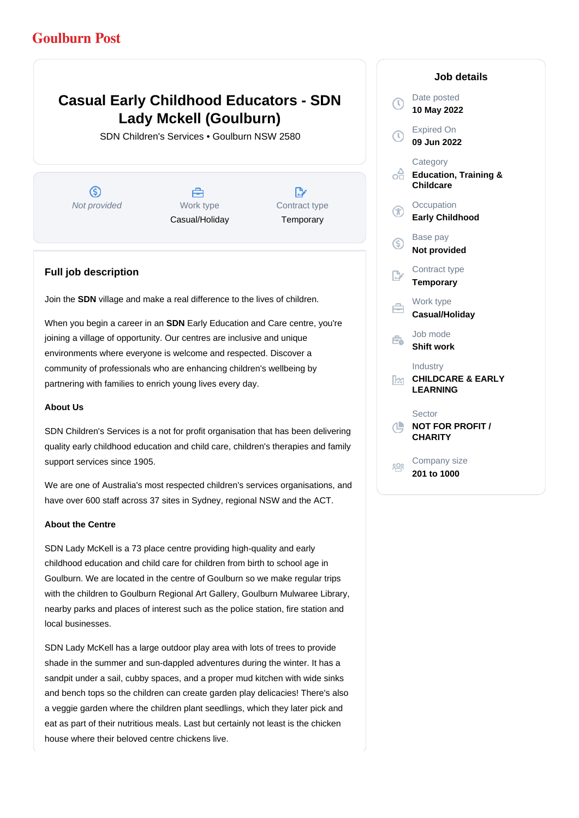## **Goulburn Post**

# **Casual Early Childhood Educators - SDN Lady Mckell (Goulburn)**

SDN Children's Services • Goulburn NSW 2580

൫ Not provided Work type

A Casual/Holiday

D, Contract type **Temporary** 

## **Full job description**

Join the **SDN** village and make a real difference to the lives of children.

When you begin a career in an **SDN** Early Education and Care centre, you're joining a village of opportunity. Our centres are inclusive and unique environments where everyone is welcome and respected. Discover a community of professionals who are enhancing children's wellbeing by partnering with families to enrich young lives every day.

#### **About Us**

SDN Children's Services is a not for profit organisation that has been delivering quality early childhood education and child care, children's therapies and family support services since 1905.

We are one of Australia's most respected children's services organisations, and have over 600 staff across 37 sites in Sydney, regional NSW and the ACT.

#### **About the Centre**

SDN Lady McKell is a 73 place centre providing high-quality and early childhood education and child care for children from birth to school age in Goulburn. We are located in the centre of Goulburn so we make regular trips with the children to Goulburn Regional Art Gallery, Goulburn Mulwaree Library, nearby parks and places of interest such as the police station, fire station and local businesses.

SDN Lady McKell has a large outdoor play area with lots of trees to provide shade in the summer and sun-dappled adventures during the winter. It has a sandpit under a sail, cubby spaces, and a proper mud kitchen with wide sinks and bench tops so the children can create garden play delicacies! There's also a veggie garden where the children plant seedlings, which they later pick and eat as part of their nutritious meals. Last but certainly not least is the chicken house where their beloved centre chickens live.

## Date posted Œ **10 May 2022** Expired On **09 Jun 2022 Category** ക് **Education, Training & Childcare Occupation Early Childhood** Base pay (S) **Not provided** Contract type **Temporary** Work type **Casual/Holiday** Job mode Ê. **Shift work** Industry ßм. **CHILDCARE & EARLY LEARNING** Sector ₾ **NOT FOR PROFIT / CHARITY** Company size 203 **201 to 1000**

**Job details**